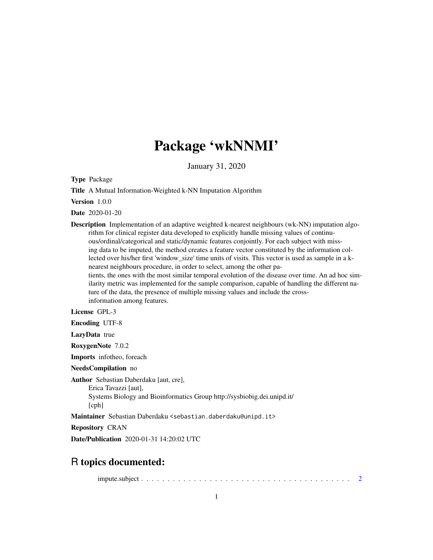## Package 'wkNNMI'

January 31, 2020

Type Package

Title A Mutual Information-Weighted k-NN Imputation Algorithm

Version 1.0.0

Date 2020-01-20

Description Implementation of an adaptive weighted k-nearest neighbours (wk-NN) imputation algorithm for clinical register data developed to explicitly handle missing values of continuous/ordinal/categorical and static/dynamic features conjointly. For each subject with missing data to be imputed, the method creates a feature vector constituted by the information collected over his/her first 'window\_size' time units of visits. This vector is used as sample in a knearest neighbours procedure, in order to select, among the other patients, the ones with the most similar temporal evolution of the disease over time. An ad hoc similarity metric was implemented for the sample comparison, capable of handling the different nature of the data, the presence of multiple missing values and include the crossinformation among features.

License GPL-3

Encoding UTF-8

LazyData true

RoxygenNote 7.0.2

Imports infotheo, foreach

NeedsCompilation no

Author Sebastian Daberdaku [aut, cre], Erica Tavazzi [aut], Systems Biology and Bioinformatics Group http://sysbiobig.dei.unipd.it/ [cph]

Maintainer Sebastian Daberdaku <sebastian.daberdaku@unipd.it>

Repository CRAN

Date/Publication 2020-01-31 14:20:02 UTC

### R topics documented:

impute.subject . . . . . . . . . . . . . . . . . . . . . . . . . . . . . . . . . . . . . . . . [2](#page-1-0)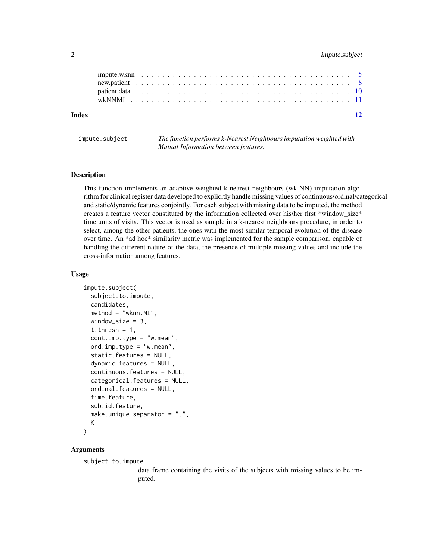#### <span id="page-1-0"></span>2 impute.subject

| Index |  |  |  |  |  |  |  |  |  |  |  |  |  |  |  |  |  |  |  |  | $\overline{12}$ |
|-------|--|--|--|--|--|--|--|--|--|--|--|--|--|--|--|--|--|--|--|--|-----------------|
|       |  |  |  |  |  |  |  |  |  |  |  |  |  |  |  |  |  |  |  |  |                 |
|       |  |  |  |  |  |  |  |  |  |  |  |  |  |  |  |  |  |  |  |  |                 |
|       |  |  |  |  |  |  |  |  |  |  |  |  |  |  |  |  |  |  |  |  |                 |

impute.subject *The function performs k-Nearest Neighbours imputation weighted with Mutual Information between features.*

#### Description

This function implements an adaptive weighted k-nearest neighbours (wk-NN) imputation algorithm for clinical register data developed to explicitly handle missing values of continuous/ordinal/categorical and static/dynamic features conjointly. For each subject with missing data to be imputed, the method creates a feature vector constituted by the information collected over his/her first \*window\_size\* time units of visits. This vector is used as sample in a k-nearest neighbours procedure, in order to select, among the other patients, the ones with the most similar temporal evolution of the disease over time. An \*ad hoc\* similarity metric was implemented for the sample comparison, capable of handling the different nature of the data, the presence of multiple missing values and include the cross-information among features.

#### Usage

```
impute.subject(
  subject.to.impute,
  candidates,
 method = "wknn.MI",
 window_size = 3,
  t.thresh = 1,
  cont.imp.type = "w.mean",
  ord.imp.type = "w.mean",
  static.features = NULL,
  dynamic.features = NULL,
  continuous.features = NULL,
  categorical.features = NULL,
  ordinal.features = NULL,
  time.feature,
  sub.id.feature,
  make.unique.separator = ".",
 K
)
```
#### Arguments

subject.to.impute

data frame containing the visits of the subjects with missing values to be imputed.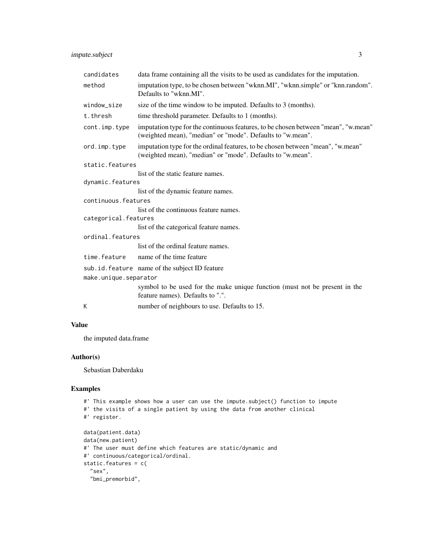impute.subject 3

| candidates            | data frame containing all the visits to be used as candidates for the imputation.                                                                |
|-----------------------|--------------------------------------------------------------------------------------------------------------------------------------------------|
| method                | imputation type, to be chosen between "wknn.MI", "wknn.simple" or "knn.random".<br>Defaults to "wknn.MI".                                        |
| window_size           | size of the time window to be imputed. Defaults to 3 (months).                                                                                   |
| t.thresh              | time threshold parameter. Defaults to 1 (months).                                                                                                |
| cont.imp.type         | imputation type for the continuous features, to be chosen between "mean", "w.mean"<br>(weighted mean), "median" or "mode". Defaults to "w.mean". |
| ord.imp.type          | imputation type for the ordinal features, to be chosen between "mean", "w.mean"<br>(weighted mean), "median" or "mode". Defaults to "w.mean".    |
| static.features       |                                                                                                                                                  |
|                       | list of the static feature names.                                                                                                                |
| dynamic.features      |                                                                                                                                                  |
|                       | list of the dynamic feature names.                                                                                                               |
| continuous.features   |                                                                                                                                                  |
|                       | list of the continuous feature names.                                                                                                            |
| categorical.features  |                                                                                                                                                  |
|                       | list of the categorical feature names.                                                                                                           |
| ordinal.features      |                                                                                                                                                  |
|                       | list of the ordinal feature names.                                                                                                               |
| time.feature          | name of the time feature                                                                                                                         |
|                       | sub. id. feature name of the subject ID feature                                                                                                  |
| make.unique.separator |                                                                                                                                                  |
|                       | symbol to be used for the make unique function (must not be present in the<br>feature names). Defaults to ".".                                   |
| К                     | number of neighbours to use. Defaults to 15.                                                                                                     |

#### Value

the imputed data.frame

#### Author(s)

Sebastian Daberdaku

#### Examples

```
#' This example shows how a user can use the impute.subject() function to impute
#' the visits of a single patient by using the data from another clinical
#' register.
data(patient.data)
data(new.patient)
#' The user must define which features are static/dynamic and
#' continuous/categorical/ordinal.
static.features = c(
  "sex",
  "bmi_premorbid",
```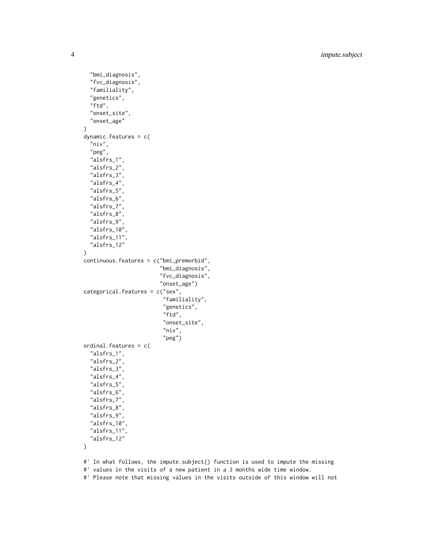4 impute.subject

```
"bmi_diagnosis",
  "fvc_diagnosis",
  "familiality",
  "genetics",
  "ftd",
  "onset_site",
  "onset_age"
\lambdadynamic.features = c(
  "niv",
  "peg",
  "alsfrs_1",
  "alsfrs_2",
  "alsfrs_3",
  "alsfrs_4",
  "alsfrs_5",
  "alsfrs_6",
  "alsfrs_7",
  "alsfrs_8",
  "alsfrs_9",
  "alsfrs_10",
  "alsfrs_11",
  "alsfrs_12"
)
continuous.features = c("bmi_premorbid",
                          "bmi_diagnosis",
                         "fvc_diagnosis",
                          "onset_age")
categorical.features = c("sex",
                           "familiality",
                           "genetics",
                           "ftd",
                           "onset_site",
                           "niv",
                           "peg")
ordinal.features = c(
  "alsfrs_1",
  "alsfrs_2",
  "alsfrs_3",
  "alsfrs_4",
  "alsfrs_5",
  "alsfrs_6",
  "alsfrs_7",
  "alsfrs_8",
  "alsfrs_9",
  "alsfrs_10",
  "alsfrs_11",
  "alsfrs_12"
\mathcal{L}
```
#' In what follows, the impute.subject() function is used to impute the missing

```
#' values in the visits of a new patient in a 3 months wide time window.
```
#' Please note that missing values in the visits outside of this window will not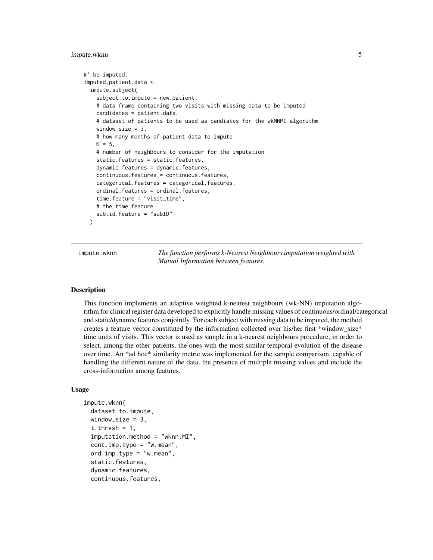#### <span id="page-4-0"></span>impute.wknn 5

```
#' be imputed.
imputed.patient.data <-
 impute.subject(
   subject.to.impute = new.patient,
   # data frame containing two visits with missing data to be imputed
   candidates = patient.data,
   # dataset of patients to be used as candiates for the wkNNMI algorithm
   window_size = 3,
   # how many months of patient data to impute
   K = 5,
   # number of neighbours to consider for the imputation
   static.features = static.features,
   dynamic.features = dynamic.features,
   continuous.features = continuous.features,
   categorical.features = categorical.features,
   ordinal.features = ordinal.features,
   time.feature = "visit_time",
   # the time feature
   sub.id.feature = "subID"
 )
```
impute.wknn *The function performs k-Nearest Neighbours imputation weighted with Mutual Information between features.*

#### Description

This function implements an adaptive weighted k-nearest neighbours (wk-NN) imputation algorithm for clinical register data developed to explicitly handle missing values of continuous/ordinal/categorical and static/dynamic features conjointly. For each subject with missing data to be imputed, the method creates a feature vector constituted by the information collected over his/her first \*window\_size\* time units of visits. This vector is used as sample in a k-nearest neighbours procedure, in order to select, among the other patients, the ones with the most similar temporal evolution of the disease over time. An \*ad hoc\* similarity metric was implemented for the sample comparison, capable of handling the different nature of the data, the presence of multiple missing values and include the cross-information among features.

#### Usage

```
impute.wknn(
  dataset.to.impute,
 window_size = 3,
  t.thresh = 1,
  imputation.method = "wknn.MI",
  cont.imp.type = "w.mean",
  ord.imp.type = "w.mean",static.features,
  dynamic.features,
  continuous.features,
```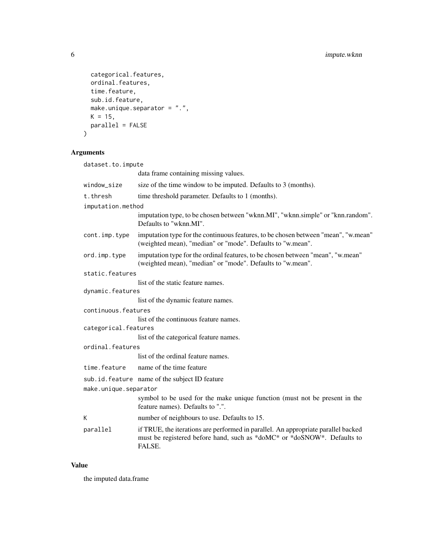```
categorical.features,
 ordinal.features,
 time.feature,
  sub.id.feature,
 make.unique.separator = ".".K = 15,
 parallel = FALSE
\mathcal{L}
```
#### Arguments

| dataset.to.impute     |                                                                                                                                                                        |
|-----------------------|------------------------------------------------------------------------------------------------------------------------------------------------------------------------|
|                       | data frame containing missing values.                                                                                                                                  |
| window_size           | size of the time window to be imputed. Defaults to 3 (months).                                                                                                         |
| t.thresh              | time threshold parameter. Defaults to 1 (months).                                                                                                                      |
| imputation.method     |                                                                                                                                                                        |
|                       | imputation type, to be chosen between "wknn.MI", "wknn.simple" or "knn.random".<br>Defaults to "wknn.MI".                                                              |
| cont.imp.type         | imputation type for the continuous features, to be chosen between "mean", "w.mean"<br>(weighted mean), "median" or "mode". Defaults to "w.mean".                       |
| ord.imp.type          | imputation type for the ordinal features, to be chosen between "mean", "w.mean"<br>(weighted mean), "median" or "mode". Defaults to "w.mean".                          |
| static.features       |                                                                                                                                                                        |
|                       | list of the static feature names.                                                                                                                                      |
| dynamic.features      |                                                                                                                                                                        |
|                       | list of the dynamic feature names.                                                                                                                                     |
| continuous.features   |                                                                                                                                                                        |
|                       | list of the continuous feature names.                                                                                                                                  |
| categorical.features  |                                                                                                                                                                        |
|                       | list of the categorical feature names.                                                                                                                                 |
| ordinal.features      |                                                                                                                                                                        |
|                       | list of the ordinal feature names.                                                                                                                                     |
| time.feature          | name of the time feature                                                                                                                                               |
|                       | sub.id.feature name of the subject ID feature                                                                                                                          |
| make.unique.separator |                                                                                                                                                                        |
|                       | symbol to be used for the make unique function (must not be present in the<br>feature names). Defaults to ".".                                                         |
| К                     | number of neighbours to use. Defaults to 15.                                                                                                                           |
| parallel              | if TRUE, the iterations are performed in parallel. An appropriate parallel backed<br>must be registered before hand, such as *doMC* or *doSNOW*. Defaults to<br>FALSE. |
|                       |                                                                                                                                                                        |

#### Value

the imputed data.frame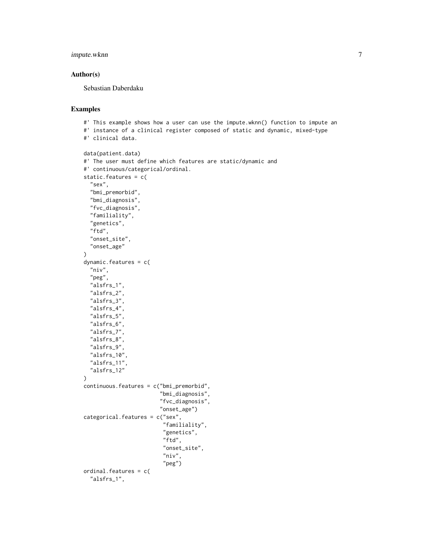impute.wknn 7

#### Author(s)

Sebastian Daberdaku

#### Examples

```
#' This example shows how a user can use the impute.wknn() function to impute an
#' instance of a clinical register composed of static and dynamic, mixed-type
#' clinical data.
data(patient.data)
#' The user must define which features are static/dynamic and
#' continuous/categorical/ordinal.
static.features = c(
  "sex",
  "bmi_premorbid",
  "bmi_diagnosis",
  "fvc_diagnosis",
  "familiality",
  "genetics",
  "ftd",
  "onset_site",
  "onset_age"
\lambdadynamic.features = c(
  "niv",
  "peg",
  "alsfrs_1",
  "alsfrs_2",
  "alsfrs_3",
  "alsfrs_4",
  "alsfrs_5",
  "alsfrs_6",
  "alsfrs_7",
  "alsfrs_8",
  "alsfrs_9",
  "alsfrs_10",
  "alsfrs_11",
  "alsfrs_12"
)
continuous.features = c("bmi_premorbid",
                         "bmi_diagnosis",
                         "fvc_diagnosis",
                         "onset_age")
categorical.features = c("sex",
                          "familiality",
                          "genetics",
                          "ftd",
                          "onset_site",
                          "niv",
                          "peg")
ordinal.features = c(
  "alsfrs_1",
```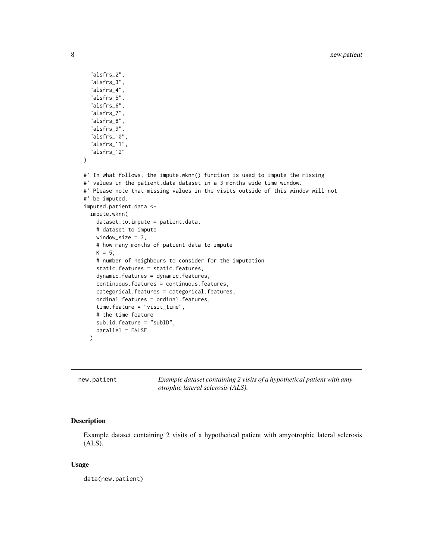```
"alsfrs_2",
 "alsfrs_3",
  "alsfrs_4",
  "alsfrs_5",
 "alsfrs_6",
 "alsfrs_7",
 "alsfrs_8",
 "alsfrs_9",
 "alsfrs_10",
 "alsfrs_11",
  "alsfrs_12"
)
#' In what follows, the impute.wknn() function is used to impute the missing
#' values in the patient.data dataset in a 3 months wide time window.
#' Please note that missing values in the visits outside of this window will not
#' be imputed.
imputed.patient.data <-
 impute.wknn(
   dataset.to.impute = patient.data,
   # dataset to impute
   window_size = 3,
   # how many months of patient data to impute
   K = 5,
    # number of neighbours to consider for the imputation
    static.features = static.features,
    dynamic.features = dynamic.features,
   continuous.features = continuous.features,
    categorical.features = categorical.features,
   ordinal.features = ordinal.features,
    time.feature = "visit_time",
    # the time feature
   sub.id.feature = "subID",
   parallel = FALSE
 \lambda
```
new.patient *Example dataset containing 2 visits of a hypothetical patient with amyotrophic lateral sclerosis (ALS).*

#### Description

Example dataset containing 2 visits of a hypothetical patient with amyotrophic lateral sclerosis (ALS).

#### Usage

data(new.patient)

<span id="page-7-0"></span>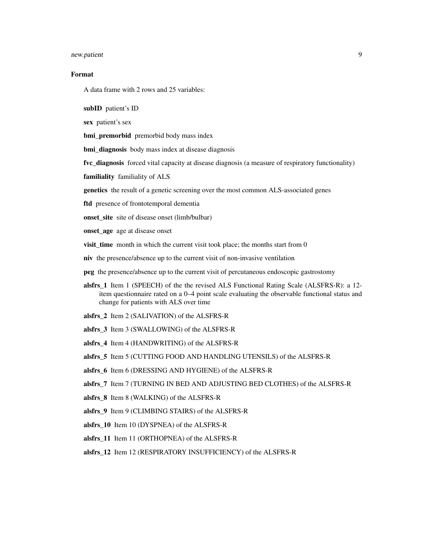#### new.patient 9

#### Format

A data frame with 2 rows and 25 variables:

subID patient's ID

sex patient's sex

bmi\_premorbid premorbid body mass index

bmi diagnosis body mass index at disease diagnosis

fvc\_diagnosis forced vital capacity at disease diagnosis (a measure of respiratory functionality)

familiality familiality of ALS

genetics the result of a genetic screening over the most common ALS-associated genes

ftd presence of frontotemporal dementia

onset\_site site of disease onset (limb/bulbar)

onset age age at disease onset

visit\_time month in which the current visit took place; the months start from 0

niv the presence/absence up to the current visit of non-invasive ventilation

peg the presence/absence up to the current visit of percutaneous endoscopic gastrostomy

- alsfrs\_1 Item 1 (SPEECH) of the the revised ALS Functional Rating Scale (ALSFRS-R): a 12 item questionnaire rated on a 0–4 point scale evaluating the observable functional status and change for patients with ALS over time
- alsfrs 2 Item 2 (SALIVATION) of the ALSFRS-R
- alsfrs\_3 Item 3 (SWALLOWING) of the ALSFRS-R
- alsfrs\_4 Item 4 (HANDWRITING) of the ALSFRS-R

alsfrs\_5 Item 5 (CUTTING FOOD AND HANDLING UTENSILS) of the ALSFRS-R

- alsfrs\_6 Item 6 (DRESSING AND HYGIENE) of the ALSFRS-R
- alsfrs\_7 Item 7 (TURNING IN BED AND ADJUSTING BED CLOTHES) of the ALSFRS-R
- alsfrs 8 Item 8 (WALKING) of the ALSFRS-R
- alsfrs\_9 Item 9 (CLIMBING STAIRS) of the ALSFRS-R
- alsfrs\_10 Item 10 (DYSPNEA) of the ALSFRS-R
- alsfrs\_11 Item 11 (ORTHOPNEA) of the ALSFRS-R
- alsfrs\_12 Item 12 (RESPIRATORY INSUFFICIENCY) of the ALSFRS-R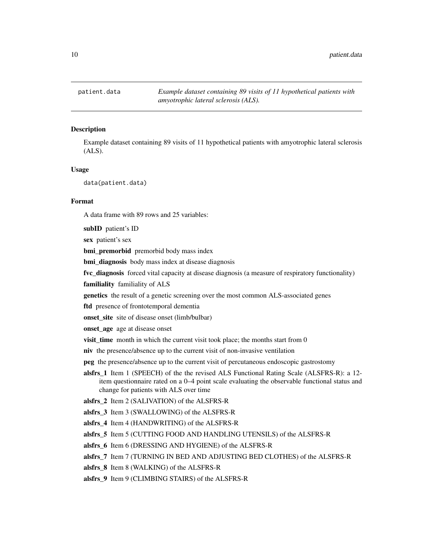<span id="page-9-0"></span>patient.data *Example dataset containing 89 visits of 11 hypothetical patients with amyotrophic lateral sclerosis (ALS).*

#### **Description**

Example dataset containing 89 visits of 11 hypothetical patients with amyotrophic lateral sclerosis (ALS).

#### Usage

data(patient.data)

#### Format

A data frame with 89 rows and 25 variables:

subID patient's ID

sex patient's sex

bmi\_premorbid premorbid body mass index

bmi\_diagnosis body mass index at disease diagnosis

fvc\_diagnosis forced vital capacity at disease diagnosis (a measure of respiratory functionality)

familiality familiality of ALS

genetics the result of a genetic screening over the most common ALS-associated genes

ftd presence of frontotemporal dementia

onset\_site site of disease onset (limb/bulbar)

onset age age at disease onset

visit time month in which the current visit took place; the months start from  $0$ 

niv the presence/absence up to the current visit of non-invasive ventilation

peg the presence/absence up to the current visit of percutaneous endoscopic gastrostomy

alsfrs\_1 Item 1 (SPEECH) of the the revised ALS Functional Rating Scale (ALSFRS-R): a 12 item questionnaire rated on a 0–4 point scale evaluating the observable functional status and change for patients with ALS over time

alsfrs\_2 Item 2 (SALIVATION) of the ALSFRS-R

alsfrs\_3 Item 3 (SWALLOWING) of the ALSFRS-R

alsfrs\_4 Item 4 (HANDWRITING) of the ALSFRS-R

alsfrs\_5 Item 5 (CUTTING FOOD AND HANDLING UTENSILS) of the ALSFRS-R

alsfrs\_6 Item 6 (DRESSING AND HYGIENE) of the ALSFRS-R

alsfrs 7 Item 7 (TURNING IN BED AND ADJUSTING BED CLOTHES) of the ALSFRS-R

alsfrs 8 Item 8 (WALKING) of the ALSFRS-R

alsfrs\_9 Item 9 (CLIMBING STAIRS) of the ALSFRS-R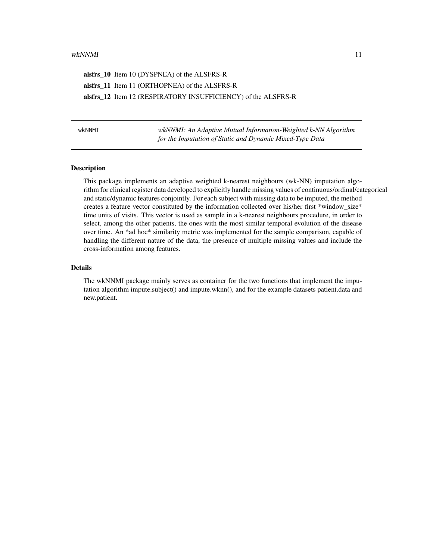#### <span id="page-10-0"></span>wkNNMI 11

alsfrs\_10 Item 10 (DYSPNEA) of the ALSFRS-R alsfrs\_11 Item 11 (ORTHOPNEA) of the ALSFRS-R alsfrs\_12 Item 12 (RESPIRATORY INSUFFICIENCY) of the ALSFRS-R

wkNNMI *wkNNMI: An Adaptive Mutual Information-Weighted k-NN Algorithm for the Imputation of Static and Dynamic Mixed-Type Data*

#### Description

This package implements an adaptive weighted k-nearest neighbours (wk-NN) imputation algorithm for clinical register data developed to explicitly handle missing values of continuous/ordinal/categorical and static/dynamic features conjointly. For each subject with missing data to be imputed, the method creates a feature vector constituted by the information collected over his/her first \*window\_size\* time units of visits. This vector is used as sample in a k-nearest neighbours procedure, in order to select, among the other patients, the ones with the most similar temporal evolution of the disease over time. An \*ad hoc\* similarity metric was implemented for the sample comparison, capable of handling the different nature of the data, the presence of multiple missing values and include the cross-information among features.

#### Details

The wkNNMI package mainly serves as container for the two functions that implement the imputation algorithm impute.subject() and impute.wknn(), and for the example datasets patient.data and new.patient.